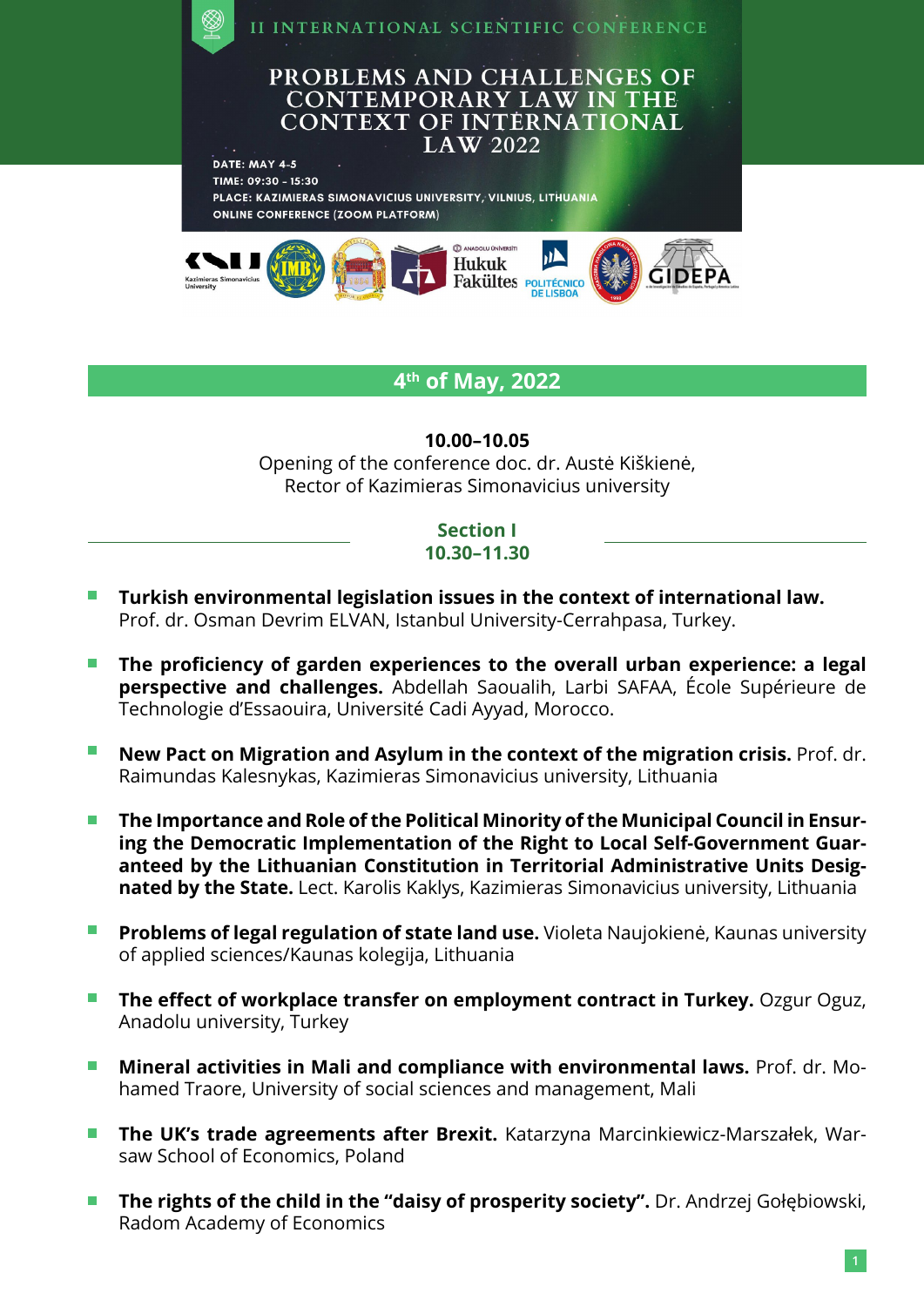

# **4th of May, 2022**

#### **10.00–10.05**

Opening of the conference doc. dr. Austė Kiškienė, Rector of Kazimieras Simonavicius university

#### **Section I 10.30–11.30**

- **Turkish environmental legislation issues in the context of international law.** П Prof. dr. Osman Devrim ELVAN, Istanbul University-Cerrahpasa, Turkey.
- $\sim$ **The proficiency of garden experiences to the overall urban experience: a legal perspective and challenges.** Abdellah Saoualih, Larbi SAFAA, École Supérieure de Technologie d'Essaouira, Université Cadi Ayyad, Morocco.
- $\mathcal{L}_{\mathcal{A}}$ **New Pact on Migration and Asylum in the context of the migration crisis.** Prof. dr. Raimundas Kalesnykas, Kazimieras Simonavicius university, Lithuania
- **The Importance and Role of the Political Minority of the Municipal Council in Ensur-** $\mathcal{L}_{\mathcal{A}}$ **ing the Democratic Implementation of the Right to Local Self-Government Guaranteed by the Lithuanian Constitution in Territorial Administrative Units Designated by the State.** Lect. Karolis Kaklys, Kazimieras Simonavicius university, Lithuania
- $\sim 10^{-10}$ **Problems of legal regulation of state land use.** Violeta Naujokienė, Kaunas university of applied sciences/Kaunas kolegija, Lithuania
- **The effect of workplace transfer on employment contract in Turkey.** Ozgur Oguz, Anadolu university, Turkey
- $\sim$ **Mineral activities in Mali and compliance with environmental laws.** Prof. dr. Mohamed Traore, University of social sciences and management, Mali
- **The UK's trade agreements after Brexit.** Katarzyna Marcinkiewicz-Marszałek, War- $\blacksquare$ saw School of Economics, Poland
- **The rights of the child in the "daisy of prosperity society".** Dr. Andrzej Gołębiowski,  $\blacksquare$ Radom Academy of Economics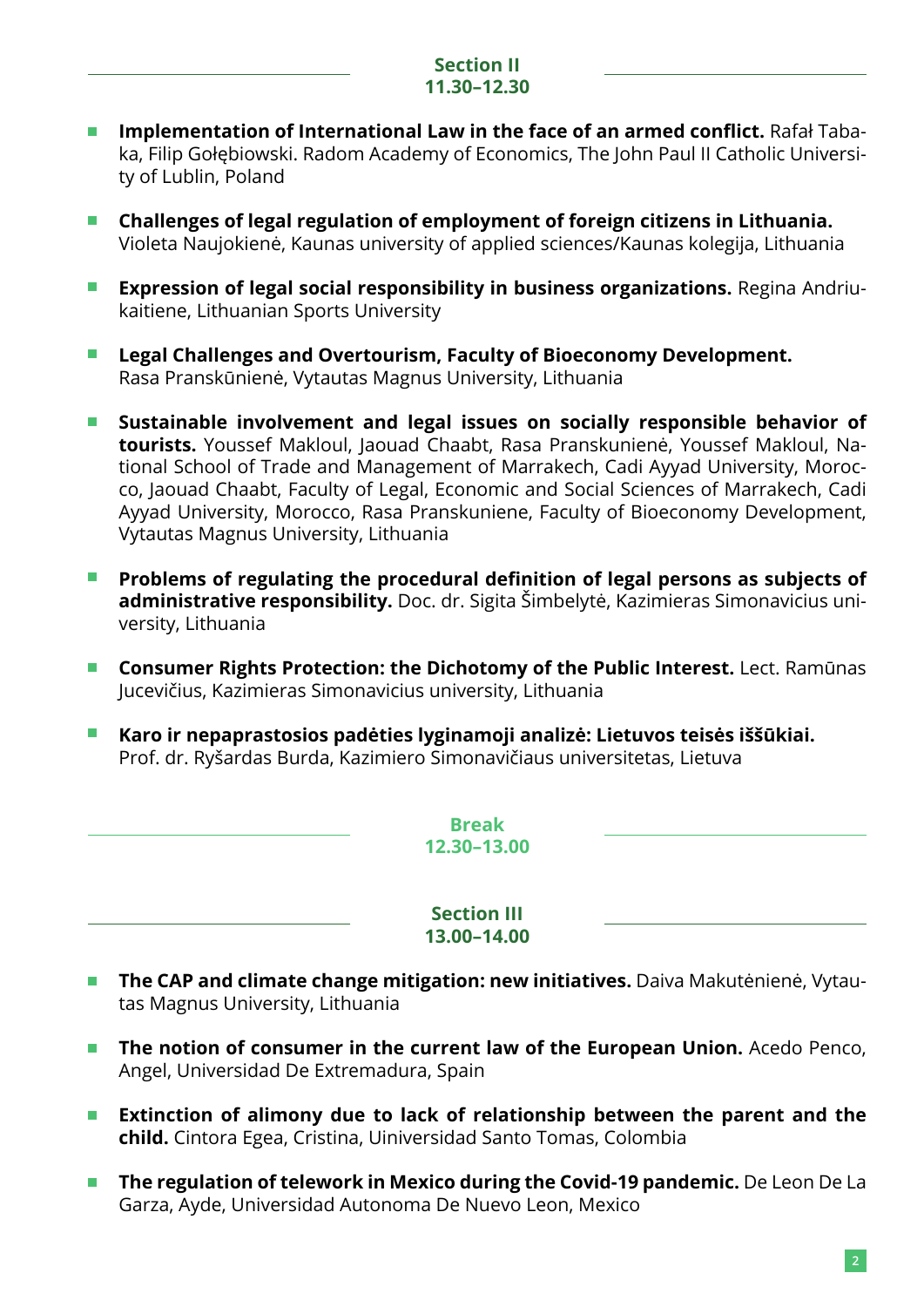## **Section II 11.30–12.30**

- **Implementation of International Law in the face of an armed conflict.** Rafał Taba- $\blacksquare$ ka, Filip Gołębiowski. Radom Academy of Economics, The John Paul II Catholic University of Lublin, Poland
- **Challenges of legal regulation of employment of foreign citizens in Lithuania.**   $\Box$ Violeta Naujokienė, Kaunas university of applied sciences/Kaunas kolegija, Lithuania
- **Expression of legal social responsibility in business organizations.** Regina Andriu- $\Box$ kaitiene, Lithuanian Sports University
- **Legal Challenges and Overtourism, Faculty of Bioeconomy Development.**  $\Box$  . Rasa Pranskūnienė, Vytautas Magnus University, Lithuania
- **Sustainable involvement and legal issues on socially responsible behavior of**   $\blacksquare$ **tourists.** Youssef Makloul, Jaouad Chaabt, Rasa Pranskunienė, Youssef Makloul, National School of Trade and Management of Marrakech, Cadi Ayyad University, Morocco, Jaouad Chaabt, Faculty of Legal, Economic and Social Sciences of Marrakech, Cadi Ayyad University, Morocco, Rasa Pranskuniene, Faculty of Bioeconomy Development, Vytautas Magnus University, Lithuania
- **Problems of regulating the procedural definition of legal persons as subjects of**   $\mathcal{L}_{\mathcal{A}}$ **administrative responsibility.** Doc. dr. Sigita Šimbelytė, Kazimieras Simonavicius university, Lithuania
- **Consumer Rights Protection: the Dichotomy of the Public Interest.** Lect. Ramūnas Jucevičius, Kazimieras Simonavicius university, Lithuania
- **Karo ir nepaprastosios padėties lyginamoji analizė: Lietuvos teisės iššūkiai. The State** Prof. dr. Ryšardas Burda, Kazimiero Simonavičiaus universitetas, Lietuva

**Break 12.30–13.00**

**Section III 13.00–14.00**

- $\mathcal{L}_{\mathcal{A}}$  . **The CAP and climate change mitigation: new initiatives.** Daiva Makutėnienė, Vytautas Magnus University, Lithuania
- **The notion of consumer in the current law of the European Union.** Acedo Penco,  $\sim 10^{-11}$ Angel, Universidad De Extremadura, Spain
- **Extinction of alimony due to lack of relationship between the parent and the The Co child.** Cintora Egea, Cristina, Uiniversidad Santo Tomas, Colombia
- **The regulation of telework in Mexico during the Covid-19 pandemic.** De Leon De La  $\overline{\mathcal{A}}$ Garza, Ayde, Universidad Autonoma De Nuevo Leon, Mexico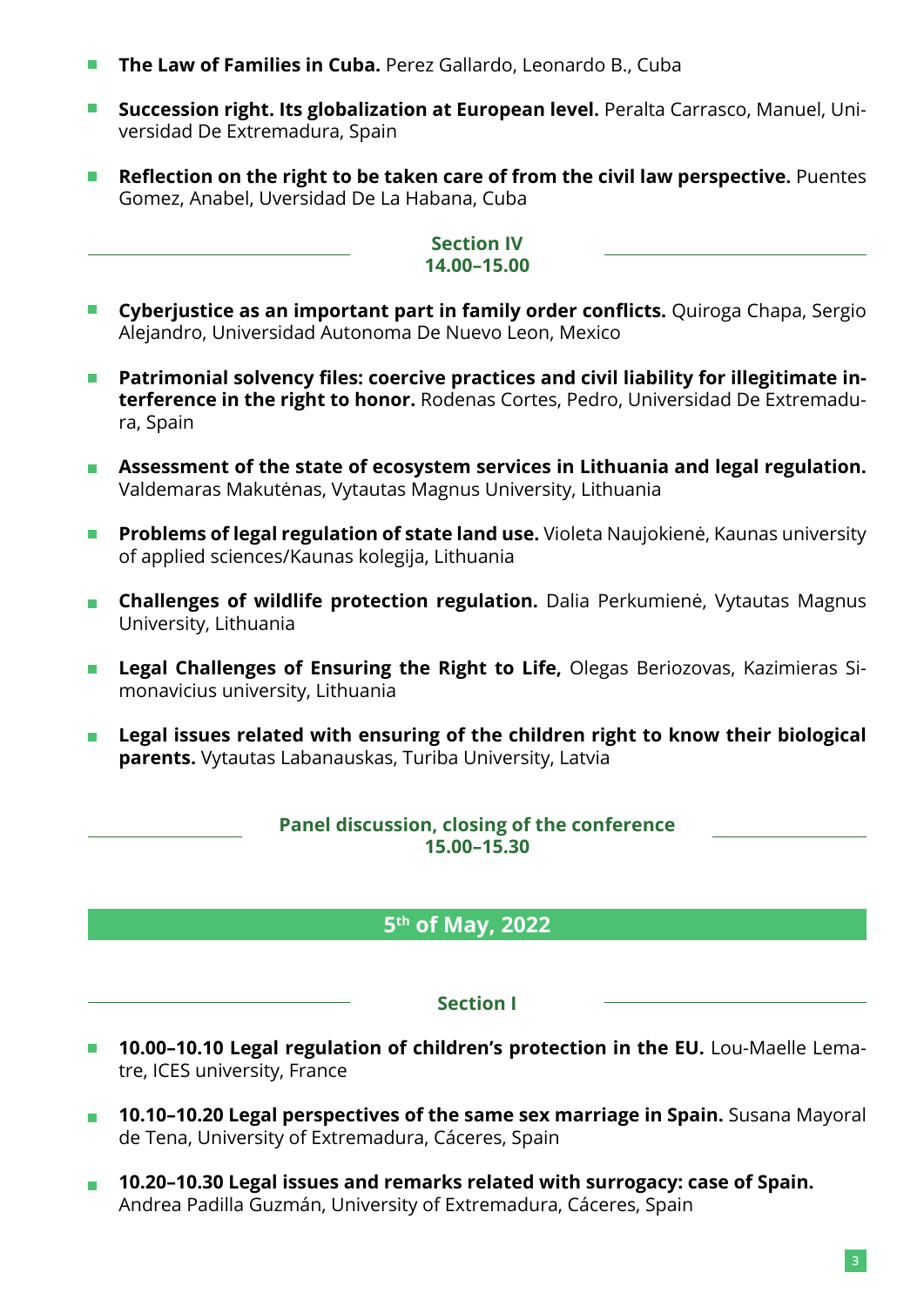- **The Law of Families in Cuba.** Perez Gallardo, Leonardo B., Cuba
- $\mathcal{L}^{\text{max}}$ **Succession right. Its globalization at European level.** Peralta Carrasco, Manuel, Universidad De Extremadura, Spain
- **Reflection on the right to be taken care of from the civil law perspective.** Puentes  $\blacksquare$ Gomez, Anabel, Uversidad De La Habana, Cuba

#### **Section IV 14.00–15.00**

- **Cyberjustice as an important part in family order conflicts.** Quiroga Chapa, Sergio Alejandro, Universidad Autonoma De Nuevo Leon, Mexico
- $\overline{\mathbb{Z}}$ **Patrimonial solvency files: coercive practices and civil liability for illegitimate interference in the right to honor.** Rodenas Cortes, Pedro, Universidad De Extremadura, Spain
- **Assessment of the state of ecosystem services in Lithuania and legal regulation.** Valdemaras Makutėnas, Vytautas Magnus University, Lithuania
- $\overline{\mathbb{Z}}$ **Problems of legal regulation of state land use.** Violeta Naujokienė, Kaunas university of applied sciences/Kaunas kolegija, Lithuania
- **Challenges of wildlife protection regulation.** Dalia Perkumienė, Vytautas Magnus  $\mathbf{L}$ University, Lithuania
- **Legal Challenges of Ensuring the Right to Life,** Olegas Beriozovas, Kazimieras Si- $\mathcal{L}_{\mathcal{A}}$ monavicius university, Lithuania
- **Legal issues related with ensuring of the children right to know their biological parents.** Vytautas Labanauskas, Turiba University, Latvia

# **Panel discussion, closing of the conference 15.00–15.30**

# **5th of May, 2022**

# **Section I**

- **10.00-10.10 Legal regulation of children's protection in the EU.** Lou-Maelle Lematre, ICES university, France
- **10.10–10.20 Legal perspectives of the same sex marriage in Spain.** Susana Mayoral  $\blacksquare$ de Tena, University of Extremadura, Cáceres, Spain
- **10.20–10.30 Legal issues and remarks related with surrogacy: case of Spain.**  $\overline{\mathcal{A}}$ Andrea Padilla Guzmán, University of Extremadura, Cáceres, Spain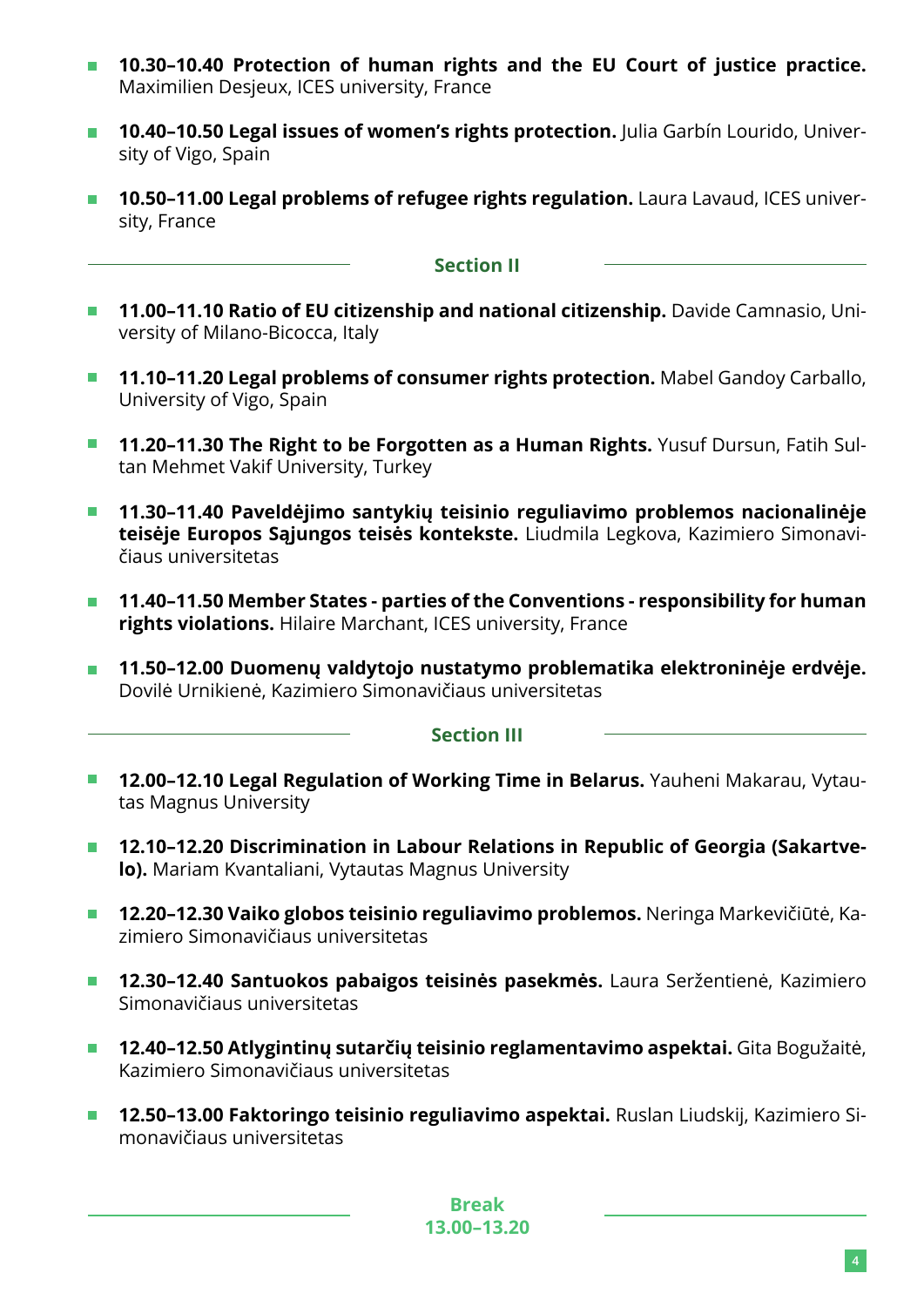- **10.30–10.40 Protection of human rights and the EU Court of justice practice.**   $\overline{\phantom{a}}$ Maximilien Desjeux, ICES university, France
- **10.40–10.50 Legal issues of women's rights protection.** Julia Garbín Lourido, Univer- $\mathcal{L}^{\text{max}}$ sity of Vigo, Spain
- **10.50-11.00 Legal problems of refugee rights regulation.** Laura Lavaud, ICES university, France

## **Section II**

- **11.00-11.10 Ratio of EU citizenship and national citizenship.** Davide Camnasio, University of Milano-Bicocca, Italy
- **11.10–11.20 Legal problems of consumer rights protection.** Mabel Gandoy Carballo,  $\mathcal{L}(\mathcal{A})$ University of Vigo, Spain
- **11.20–11.30 The Right to be Forgotten as a Human Rights.** Yusuf Dursun, Fatih Sul- $\mathcal{L}_{\mathcal{A}}$ tan Mehmet Vakif University, Turkey
- **11.30–11.40 Paveldėjimo santykių teisinio reguliavimo problemos nacionalinėje teisėje Europos Sąjungos teisės kontekste.** Liudmila Legkova, Kazimiero Simonavičiaus universitetas
- $\overline{\mathcal{L}}$ **11.40–11.50 Member States - parties of the Conventions - responsibility for human rights violations.** Hilaire Marchant, ICES university, France
- **11.50–12.00 Duomenų valdytojo nustatymo problematika elektroninėje erdvėje.**  $\overline{\mathcal{L}}$ Dovilė Urnikienė, Kazimiero Simonavičiaus universitetas

#### **Section III**

- **12.00–12.10 Legal Regulation of Working Time in Belarus.** Yauheni Makarau, Vytau- $\Box$ tas Magnus University
- **12.10–12.20 Discrimination in Labour Relations in Republic of Georgia (Sakartve-** $\overline{\mathbb{Z}}$ **lo).** Mariam Kvantaliani, Vytautas Magnus University
- **12.20–12.30 Vaiko globos teisinio reguliavimo problemos.** Neringa Markevičiūtė, Ka-**The Contract** zimiero Simonavičiaus universitetas
- **12.30–12.40 Santuokos pabaigos teisinės pasekmės.** Laura Seržentienė, Kazimiero Simonavičiaus universitetas
- **12.40–12.50 Atlygintinų sutarčių teisinio reglamentavimo aspektai.** Gita Bogužaitė,  $\blacksquare$ Kazimiero Simonavičiaus universitetas
- **12.50–13.00 Faktoringo teisinio reguliavimo aspektai.** Ruslan Liudskij, Kazimiero Si-**The Co** monavičiaus universitetas

**Break 13.00–13.20**